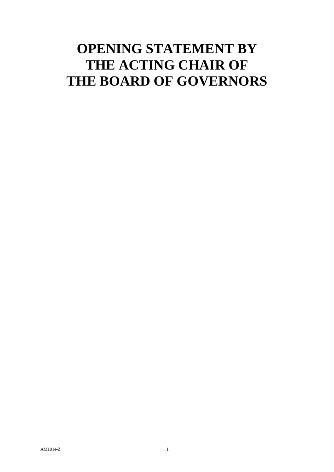## **OPENING STATEMENT BY THE ACTING CHAIR OF THE BOARD OF GOVERNORS**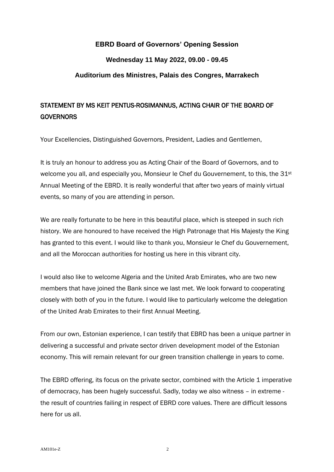## **EBRD Board of Governors' Opening Session Wednesday 11 May 2022, 09.00 - 09.45 Auditorium des Ministres, Palais des Congres, Marrakech**

## STATEMENT BY MS KEIT PENTUS-ROSIMANNUS, ACTING CHAIR OF THE BOARD OF **GOVERNORS**

Your Excellencies, Distinguished Governors, President, Ladies and Gentlemen,

It is truly an honour to address you as Acting Chair of the Board of Governors, and to welcome you all, and especially you, Monsieur le Chef du Gouvernement, to this, the 31<sup>st</sup> Annual Meeting of the EBRD. It is really wonderful that after two years of mainly virtual events, so many of you are attending in person.

We are really fortunate to be here in this beautiful place, which is steeped in such rich history. We are honoured to have received the High Patronage that His Majesty the King has granted to this event. I would like to thank you, Monsieur le Chef du Gouvernement, and all the Moroccan authorities for hosting us here in this vibrant city.

I would also like to welcome Algeria and the United Arab Emirates, who are two new members that have joined the Bank since we last met. We look forward to cooperating closely with both of you in the future. I would like to particularly welcome the delegation of the United Arab Emirates to their first Annual Meeting.

From our own, Estonian experience, I can testify that EBRD has been a unique partner in delivering a successful and private sector driven development model of the Estonian economy. This will remain relevant for our green transition challenge in years to come.

The EBRD offering, its focus on the private sector, combined with the Article 1 imperative of democracy, has been hugely successful. Sadly, today we also witness – in extreme the result of countries failing in respect of EBRD core values. There are difficult lessons here for us all.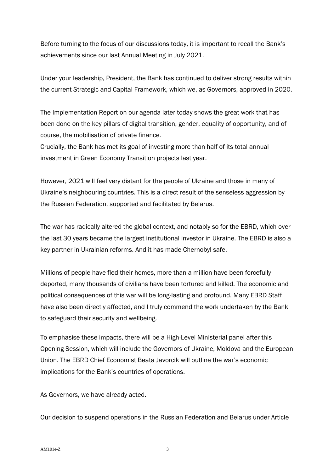Before turning to the focus of our discussions today, it is important to recall the Bank's achievements since our last Annual Meeting in July 2021.

Under your leadership, President, the Bank has continued to deliver strong results within the current Strategic and Capital Framework, which we, as Governors, approved in 2020.

The Implementation Report on our agenda later today shows the great work that has been done on the key pillars of digital transition, gender, equality of opportunity, and of course, the mobilisation of private finance.

Crucially, the Bank has met its goal of investing more than half of its total annual investment in Green Economy Transition projects last year.

However, 2021 will feel very distant for the people of Ukraine and those in many of Ukraine's neighbouring countries. This is a direct result of the senseless aggression by the Russian Federation, supported and facilitated by Belarus.

The war has radically altered the global context, and notably so for the EBRD, which over the last 30 years became the largest institutional investor in Ukraine. The EBRD is also a key partner in Ukrainian reforms. And it has made Chernobyl safe.

Millions of people have fled their homes, more than a million have been forcefully deported, many thousands of civilians have been tortured and killed. The economic and political consequences of this war will be long-lasting and profound. Many EBRD Staff have also been directly affected, and I truly commend the work undertaken by the Bank to safeguard their security and wellbeing.

To emphasise these impacts, there will be a High-Level Ministerial panel after this Opening Session, which will include the Governors of Ukraine, Moldova and the European Union. The EBRD Chief Economist Beata Javorcik will outline the war's economic implications for the Bank's countries of operations.

As Governors, we have already acted.

Our decision to suspend operations in the Russian Federation and Belarus under Article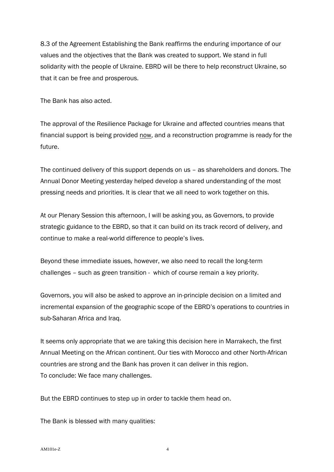8.3 of the Agreement Establishing the Bank reaffirms the enduring importance of our values and the objectives that the Bank was created to support. We stand in full solidarity with the people of Ukraine. EBRD will be there to help reconstruct Ukraine, so that it can be free and prosperous.

The Bank has also acted.

The approval of the Resilience Package for Ukraine and affected countries means that financial support is being provided now, and a reconstruction programme is ready for the future.

The continued delivery of this support depends on us – as shareholders and donors. The Annual Donor Meeting yesterday helped develop a shared understanding of the most pressing needs and priorities. It is clear that we all need to work together on this.

At our Plenary Session this afternoon, I will be asking you, as Governors, to provide strategic guidance to the EBRD, so that it can build on its track record of delivery, and continue to make a real-world difference to people's lives.

Beyond these immediate issues, however, we also need to recall the long-term challenges – such as green transition - which of course remain a key priority.

Governors, you will also be asked to approve an in-principle decision on a limited and incremental expansion of the geographic scope of the EBRD's operations to countries in sub-Saharan Africa and Iraq.

It seems only appropriate that we are taking this decision here in Marrakech, the first Annual Meeting on the African continent. Our ties with Morocco and other North-African countries are strong and the Bank has proven it can deliver in this region. To conclude: We face many challenges.

But the EBRD continues to step up in order to tackle them head on.

The Bank is blessed with many qualities: